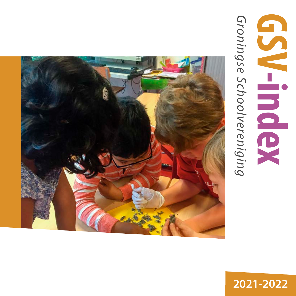# Groningse Schoolvereniging *Groningse Schoolvereniging* **GSV-index**



**2021-2022**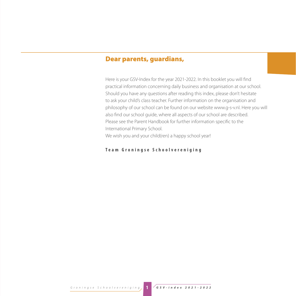#### Dear parents, guardians,

Here is your GSV-Index for the year 2021-2022. In this booklet you will find practical information concerning daily business and organisation at our school. Should you have any questions after reading this index, please don't hesitate to ask your child's class teacher. Further information on the organisation and philosophy of our school can be found on our website www.g-s-v.nl. Here you will also find our school guide, where all aspects of our school are described. Please see the Parent Handbook for further information specific to the International Primary School. We wish you and your child(ren) a happy school year!

#### **Team Groningse Schoolvereniging**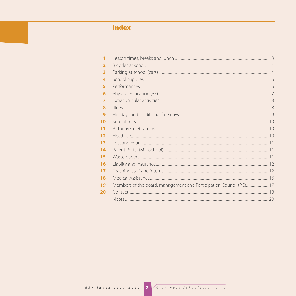# **Index**

| 1                       |  |
|-------------------------|--|
| $\overline{\mathbf{2}}$ |  |
| 3                       |  |
| 4                       |  |
| 5                       |  |
| 6                       |  |
| $\overline{7}$          |  |
| 8                       |  |
| 9                       |  |
| 10                      |  |
| 11                      |  |
| 12                      |  |
| 13                      |  |
| 14                      |  |
| 15                      |  |
| 16                      |  |
| 17                      |  |
| 18                      |  |
| 19                      |  |
| 20                      |  |
|                         |  |
|                         |  |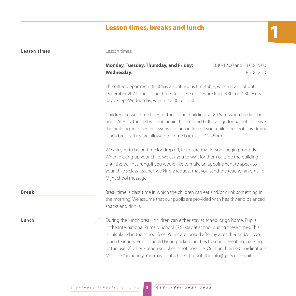## Lesson times, breaks and lunch

| esson times:<br>Monday, Tuesday, Thursday, and Friday:                                                                                                                                                                                                                                                                                 | 8.30-12.00 and 13.00-15.00 |
|----------------------------------------------------------------------------------------------------------------------------------------------------------------------------------------------------------------------------------------------------------------------------------------------------------------------------------------|----------------------------|
| <b>Wednesday:</b>                                                                                                                                                                                                                                                                                                                      | 8.30-12.30                 |
| The gifted department (HB) has a continuous timetable, which is a pilot until<br>December 2021. The school times for these classes are from 8.30 to 14.30 every<br>day except Wednesday, which is 8.30 to 12.30.                                                                                                                       |                            |
| Children are welcome to enter the school buildings at 8.15am when the first bell<br>rings. At 8.25, the bell will ring again. This second bell is a sign for parents to leave<br>the building, in order for lessons to start on time. If your child does not stay during<br>lunch breaks, they are allowed to come back as of 12.45pm. |                            |
| We ask you to be on time for drop off, to ensure that lessons begin promptly.<br>When picking up your child, we ask you to wait for them outside the building<br>until the bell has rung. If you would like to make an appointment to speak to<br>your child's class teacher, we kindly request that you send the teacher an email or  |                            |

Lesson times

**Break** Break time is class time in which the children can eat and/or drink something in the morning. We assume that our pupils are provided with healthy and balanced snacks and drinks.

**Lunch** During the lunch break, children can either stay at school or go home. Pupils in the International Primary School (IPS) stay at school during these times. This is calculated in the school fees. Pupils are looked after by a teacher and/or two lunch teachers. Pupils should bring packed lunches to school. Heating, cooking, or the use of other kitchen supplies is not possible. Our Lunch time Coordinator is Miss Ilse Yarzagaray. You may contact her through the info@g-s-v.nl e-mail.

MijnSchool message.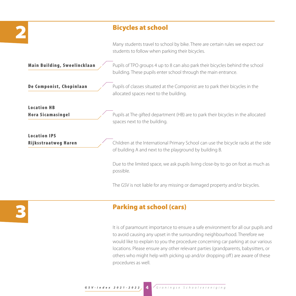#### Bicycles at school

Many students travel to school by bike. There are certain rules we expect our students to follow when parking their bicycles.

**Main Building, Sweelincklaan**  $\angle$  Pupils of TPO groups 4 up to 8 can also park their bicycles behind the school building. These pupils enter school through the main entrance. **De Componist, Chopinlaan** Pupils of classes situated at the Componist are to park their bicycles in the allocated spaces next to the building. Location HB **Hora Sicamasingel** Pupils at The gifted department (HB) are to park their bicycles in the allocated spaces next to the building. Location IPS Rijksstraatweg Haren Children at the International Primary School can use the bicycle racks at the side of building A and next to the playground by building B. Due to the limited space, we ask pupils living close-by to go on foot as much as possible. The GSV is not liable for any missing or damaged property and/or bicycles.

3

# Parking at school (cars)

It is of paramount importance to ensure a safe environment for all our pupils and to avoid causing any upset in the surrounding neighbourhood. Therefore we would like to explain to you the procedure concerning car parking at our various locations. Please ensure any other relevant parties (grandparents, babysitters, or others who might help with picking up and/or dropping off) are aware of these procedures as well.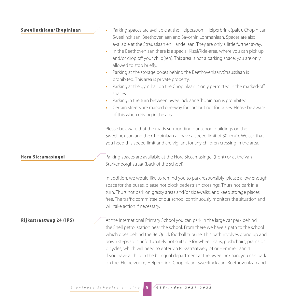#### Sweelincklaan/Chopinlaan

| Parking spaces are available at the Helperzoom, Helperbrink (paid), Chopinlaan,  |
|----------------------------------------------------------------------------------|
| Sweelincklaan, Beethovenlaan and Savornin Lohmanlaan. Spaces are also            |
| available at the Strausslaan en Händellaan. They are only a little further away. |

- In the Beethovenlaan there is a special Kiss&Ride-area, where you can pick up and/or drop off your child(ren). This area is not a parking space; you are only allowed to stop briefly.
- Parking at the storage boxes behind the Beethovenlaan/Strausslaan is prohibited. This area is private property.
- Parking at the gym hall on the Chopinlaan is only permitted in the marked-off spaces.
- Parking in the turn between Sweelincklaan/Chopinlaan is prohibited.
- Certain streets are marked one-way for cars but not for buses. Please be aware of this when driving in the area.

Please be aware that the roads surrounding our school buildings on the Sweelincklaan and the Chopinlaan all have a speed limit of 30 km/h. We ask that you heed this speed limit and are vigilant for any children crossing in the area.

**Hora Siccamasingel** Parking spaces are available at the Hora Siccamasingel (front) or at the Van Starkenborghstraat (back of the school).

> In addition, we would like to remind you to park responsibly; please allow enough space for the buses, please not block pedestrian crossings, Thurs not park in a turn, Thurs not park on grassy areas and/or sidewalks, and keep storage places free. The traffic committee of our school continuously monitors the situation and will take action if necessary.

Riiksstraatweg 24 (IPS) At the International Primary School you can park in the large car park behind the Shell petrol station near the school. From there we have a path to the school which goes behind the Be Quick football tribune. This path involves going up and down steps so is unfortunately not suitable for wheelchairs, pushchairs, prams or bicycles, which will need to enter via Rijksstraatweg 24 or Hemmenlaan 4. If you have a child in the bilingual department at the Sweelincklaan, you can park on the Helperzoom, Helperbrink, Chopinlaan, Sweelincklaan, Beethovenlaan and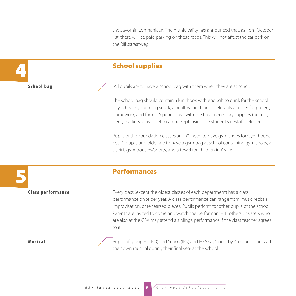the Savornin Lohmanlaan. The municipality has announced that, as from October 1st, there will be paid parking on these roads. This will not affect the car park on the Rijksstraatweg.

#### School supplies

**School bag**  $\sim$  All pupils are to have a school bag with them when they are at school.

The school bag should contain a lunchbox with enough to drink for the school day, a healthy morning snack, a healthy lunch and preferably a folder for papers, homework, and forms. A pencil case with the basic necessary supplies (pencils, pens, markers, erasers, etc) can be kept inside the student's desk if preferred.

Pupils of the Foundation classes and Y1 need to have gym shoes for Gym hours. Year 2 pupils and older are to have a gym bag at school containing gym shoes, a t-shirt, gym trousers/shorts, and a towel for children in Year 6.

5

4

#### Performances

**Class performance** Every class (except the oldest classes of each department) has a class performance once per year. A class performance can range from music recitals, improvisation, or rehearsed pieces. Pupils perform for other pupils of the school. Parents are invited to come and watch the performance. Brothers or sisters who are also at the GSV may attend a sibling's performance if the class teacher agrees to it.

**Musical** Pupils of group 8 (TPO) and Year 6 (IPS) and HB6 say 'good-bye' to our school with their own musical during their final year at the school.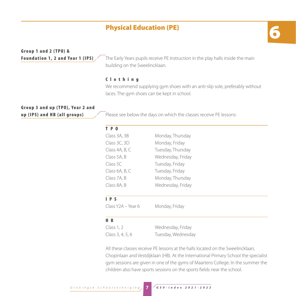## **Physical Education (PE)**

# Group 1 and 2 ( $TPO$ ) &

**Foundation 1, 2 and Year 1 (IPS)**  $\angle$  The Early Years pupils receive PE instruction in the play halls inside the main building on the Sweelincklaan.

#### Clothing

We recommend supplying gym shoes with an anti-slip sole, preferably without laces. The gym shoes can be kept in school.

# Group 3 and up (TPO), Year 2 and

**up (IPS) and HB (all groups)**  $\angle$  Please see below the days on which the classes receive PE lessons:

| T P O          |                   |  |
|----------------|-------------------|--|
| Class 3A, 3B   | Monday, Thursday  |  |
| Class 3C, 3D   | Monday, Friday    |  |
| Class 4A, B, C | Tuesday, Thursday |  |
| Class 5A, B    | Wednesday, Friday |  |
| Class 5C       | Tuesday, Friday   |  |
| Class 6A, B, C | Tuesday, Friday   |  |
| Class 7A, B    | Monday, Thursday  |  |
| Class 8A, B    | Wednesday, Friday |  |
|                |                   |  |

#### IPS

Class Y2A – Year 6 Monday, Friday

#### H B

| Class $1, 2$     | Wednesday, Friday  |
|------------------|--------------------|
| Class 3, 4, 5, 6 | Tuesday, Wednesday |

All these classes receive PE lessons at the halls located on the Sweelincklaan, Chopinlaan and Vestdijklaan (HB). At the International Primary School the specialist gym sessions are given in one of the gyms of Maartens College. In the summer the children also have sports sessions on the sports fields near the school.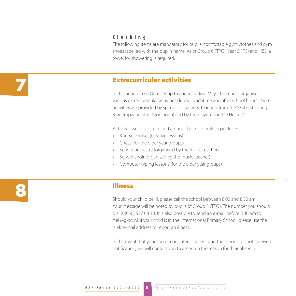#### Clothing

The following items are mandatory for pupils: comfortable gym clothes and gym shoes labelled with the pupil's name. As of Group 6 (TPO), Year 6 (IPS) and HB3, a towel for showering is required.

#### Extracurricular activities

In the period from October up to and including May., the school organises various extra-curricular activities during lunchtime and after school hours. These activities are provided by specialist teachers, teachers from the SKSG (Stichting Kinderopvang Stad Groningen) and by the playground 'De Helpen'.

Activities we organise in and around the main building include:

- Knutsel Frutsel (creative lessons)
- Chess (for the older year groups)
- School orchestra (organised by the music teacher)
- School choir (organised by the music teacher)
- Computer typing lessons (for the older year groups)

8

7

## Illness

Should your child be ill, please call the school between 8.00 and 8.30 am. Your message will be noted by pupils of Group 8 (TPO). The number you should dial is (050) 527 08 18. It is also possible to send an e-mail before 8.30 am to ziek@g-s-v.nl. If your child is in the International Primary School, please use the 'ziek' e-mail address to report an illness.

In the event that your son or daughter is absent and the school has not received notification, we will contact you to ascertain the reason for their absence.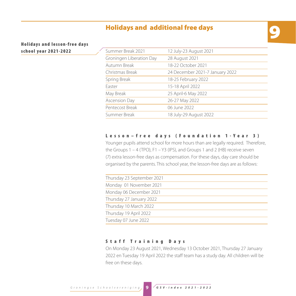#### 9 Holidays and additional free days

Holidays and lesson-free days school year 2021-2022

| Summer Break 2021        | 12 July-23 August 2021          |
|--------------------------|---------------------------------|
| Groningen Liberation Day | 28 August 2021                  |
| Autumn Break             | 18-22 October 2021              |
| Christmas Break          | 24 December 2021-7 January 2022 |
| Spring Break             | 18-25 February 2022             |
| Easter                   | 15-18 April 2022                |
| May Break                | 25 April-6 May 2022             |
| Ascension Day            | 26-27 May 2022                  |
| Pentecost Break          | 06 June 2022                    |
| Summer Break             | 18 July-29 August 2022          |

#### Lesson–free days (Foundation 1-Year 3)

Younger pupils attend school for more hours than are legally required. Therefore, the Groups 1 – 4 (TPO), F1 – Y3 (IPS), and Groups 1 and 2 (HB) receive seven (7) extra lesson-free days as compensation. For these days, day care should be organised by the parents. This school year, the lesson-free days are as follows:

| Thursday 23 September 2021 |
|----------------------------|
| Monday 01 November 2021    |
| Monday 06 December 2021    |
| Thursday 27 January 2022   |
| Thursday 10 March 2022     |
| Thursday 19 April 2022     |
| Tuesday 07 June 2022       |
|                            |

#### Staff Training Days

On Monday 23 August 2021, Wednesday 13 October 2021, Thursday 27 January 2022 en Tuesday 19 April 2022 the staff team has a study day. All children will be free on these days.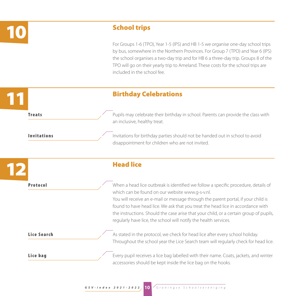

#### School trips

For Groups 1-6 (TPO), Year 1-5 (IPS) and HB 1-5 we organise one-day school trips by bus, somewhere in the Northern Provinces. For Group 7 (TPO) and Year 6 (IPS) the school organises a two-day trip and for HB 6 a three-day trip. Groups 8 of the TPO will go on their yearly trip to Ameland. These costs for the school trips are included in the school fee.

Throughout the school year the Lice Search team will regularly check for head lice.



**Lice bag** Every pupil receives a lice bag labelled with their name. Coats, jackets, and winter

accessories should be kept inside the lice bag on the hooks.

**Lice Search** As stated in the protocol, we check for head lice after every school holiday.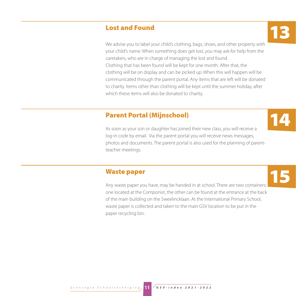#### Lost and Found

We advise you to label your child's clothing, bags, shoes, and other property with your child's name. When something does get lost, you may ask for help from the caretakers, who are in charge of managing the lost and found. Clothing that has been found will be kept for one month. After that, the clothing will be on display and can be picked up. When this will happen will be communicated through the parent portal. Any items that are left will be donated to charity. Items other than clothing will be kept until the summer holiday, after which these items will also be donated to charity.

#### Parent Portal (Mijnschool)

As soon as your son or daughter has joined their new class, you will receive a log-in code by email. Via the parent portal you will receive news messages, photos and documents. The parent portal is also used for the planning of parentteacher meetings.

#### Waste paper

Any waste paper you have, may be handed in at school. There are two containers; one located at the Componist, the other can be found at the entrance at the back of the main building on the Sweelincklaan. At the International Primary School, waste paper is collected and taken to the main GSV location to be put in the paper recycling bin.



15

# 13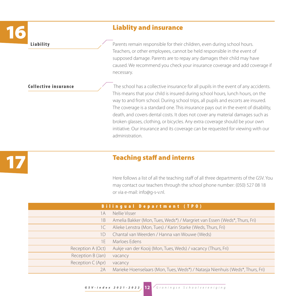# **16 Liablity and insurance**<br>16 **Liability**<br>16 **Liability**<br>16 **C** Parents remain responsible for their

Parents remain responsible for their children, even during school hours. Teachers, or other employees, cannot be held responsible in the event of supposed damage. Parents are to repay any damages their child may have caused. We recommend you check your insurance coverage and add coverage if necessary.

**Collective insurance** The school has a collective insurance for all pupils in the event of any accidents. This means that your child is insured during school hours, lunch hours, on the way to and from school. During school trips, all pupils and escorts are insured. The coverage is a standard one. This insurance pays out in the event of disability, death, and covers dental costs. It does not cover any material damages such as broken glasses, clothing, or bicycles. Any extra coverage should be your own initiative. Our insurance and its coverage can be requested for viewing with our administration.

17

#### **Teaching staff and interns**

Here follows a list of all the teaching staff of all three departments of the GSV. You may contact our teachers through the school phone number: (050) 527 08 18 or via e-mail: info@g-s-v.nl.

| <b>Bilingual Department (TPO)</b> |                                                                               |  |
|-----------------------------------|-------------------------------------------------------------------------------|--|
| 1А                                | Nellie Visser                                                                 |  |
| 1 B                               | Amelia Bakker (Mon, Tues, Weds*) / Margriet van Essen (Weds*, Thurs, Fri)     |  |
| 1C                                | Alieke Lenstra (Mon, Tues) / Karin Starke (Weds, Thurs, Fri)                  |  |
| 1D                                | Chantal van Weerden / Hanna van Wouwe (Weds)                                  |  |
| 1 E                               | Marloes Edens                                                                 |  |
| Reception A (Oct)                 | Aukje van der Kooij (Mon, Tues, Weds) / vacancy (Thurs, Fri)                  |  |
| Reception B (Jan)                 | vacancy                                                                       |  |
| Reception C (Apr)                 | vacancy                                                                       |  |
| 2A                                | Marieke Hoenselaars (Mon, Tues, Weds*) / Natasja Nienhuis (Weds*, Thurs, Fri) |  |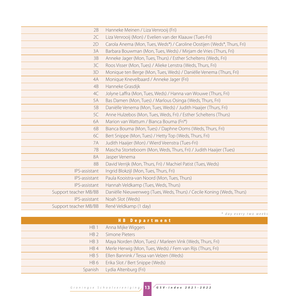| 2B                    | Hanneke Meinen / Liza Venrooij (Fri)                                    |
|-----------------------|-------------------------------------------------------------------------|
| 2C                    | Liza Venrooij (Mon) / Evelien van der Klaauw (Tues-Fri)                 |
| 2D                    | Carola Anema (Mon, Tues, Weds*) / Caroline Oostijen (Weds*, Thurs, Fri) |
| 3A                    | Barbara Bouwman (Mon, Tues, Weds) / Mirjam de Vries (Thurs, Fri)        |
| 3B                    | Anneke Jager (Mon, Tues, Thurs) / Esther Scheltens (Weds, Fri)          |
| 3C                    | Roos Visser (Mon, Tues) / Alieke Lenstra (Weds, Thurs, Fri)             |
| 3D                    | Monique ten Berge (Mon, Tues, Weds) / Daniëlle Venema (Thurs, Fri)      |
| 4A                    | Monique Knevelbaard / Anneke Jager (Fri)                                |
| 4B                    | Hanneke Grasdijk                                                        |
| 4C                    | Jolyne Laffra (Mon, Tues, Weds) / Hanna van Wouwe (Thurs, Fri)          |
| 5A                    | Bas Damen (Mon, Tues) / Marlous Osinga (Weds, Thurs, Fri)               |
| 5B                    | Daniëlle Venema (Mon, Tues, Weds) / Judith Haaijer (Thurs, Fri)         |
| 5C                    | Anne Hulzebos (Mon, Tues, Weds, Fri) / Esther Scheltens (Thurs)         |
| 6A                    | Marion van Wattum / Bianca Bouma (Fri*)                                 |
| 6B                    | Bianca Bouma (Mon, Tues) / Daphne Ooms (Weds, Thurs, Fri)               |
| 6C                    | Bert Snippe (Mon, Tues) / Hetty Top (Weds, Thurs, Fri)                  |
| <b>7A</b>             | Judith Haaijer (Mon) / Wierd Veenstra (Tues-Fri)                        |
| 7B                    | Mascha Storteboom (Mon, Weds, Thurs, Fri) / Judith Haaijer (Tues)       |
| 8A                    | Jasper Venema                                                           |
| <b>8B</b>             | David Verrijk (Mon, Thurs, Fri) / Machiel Patist (Tues, Weds)           |
| IPS-assistant         | Ingrid Blokzijl (Mon, Tues, Thurs, Fri)                                 |
| IPS-assistant         | Paula Kooistra-van Noord (Mon, Tues, Thurs)                             |
| IPS-assistant         | Hannah Veldkamp (Tues, Weds, Thurs)                                     |
| Support teacher MB/BB | Daniëlle Nieuwenweg (Tues, Weds, Thurs) / Cecile Koning (Weds, Thurs)   |
| IPS-assistant         | Noah Slot (Weds)                                                        |
| Support teacher MB/BB | René Veldkamp (1 day)                                                   |

*\* day every two weeks*

| <b>HB</b> Department |                                                            |  |
|----------------------|------------------------------------------------------------|--|
| HB <sub>1</sub>      | Anna Mijke Wiggers                                         |  |
| HB <sub>2</sub>      | Simone Pieters                                             |  |
| HB3                  | Maya Norden (Mon, Tues) / Marleen Vink (Weds, Thurs, Fri)  |  |
| HB4                  | Merle Herwig (Mon, Tues, Weds) / Fem van Rijs (Thurs, Fri) |  |
| HB 5                 | Ellen Bannink / Tessa van Velzen (Weds)                    |  |
| HB 6                 | Erika Slot / Bert Snippe (Weds)                            |  |
|                      | Spanish Lydia Altenburg (Fri)                              |  |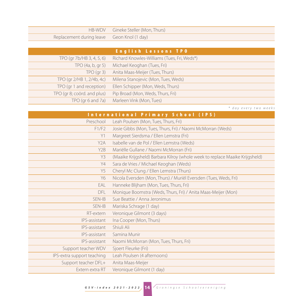|                                            | HB-WDV Gineke Steller (Mon, Thurs) |
|--------------------------------------------|------------------------------------|
| Replacement during leave Geon Knol (1 day) |                                    |

| <b>English Lessons TPO</b>  |                                             |  |
|-----------------------------|---------------------------------------------|--|
| TPO (gr 7b/HB 3, 4, 5, 6)   | Richard Knowles-Williams (Tues, Fri, Weds*) |  |
| TPO $(4a, b, gr 5)$         | Michael Keoghan (Tues, Fri)                 |  |
| TPO(qr3)                    | Anita Maas-Meijer (Tues, Thurs)             |  |
| TPO (gr 2/HB 1, 2/4b, 4c)   | Milena Stanojevic (Mon, Tues, Weds)         |  |
| TPO (gr 1 and reception)    | Ellen Schipper (Mon, Weds, Thurs)           |  |
| TPO (qr 8; coörd. and plus) | Pip Broad (Mon, Weds, Thurs, Fri)           |  |
| TPO (gr 6 and 7a)           | Marleen Vink (Mon, Tues)                    |  |

*\* day every two weeks*

| International Primary School (IPS) |                                                                              |
|------------------------------------|------------------------------------------------------------------------------|
| Preschool                          | Leah Poulsen (Mon, Tues, Thurs, Fri)                                         |
| F1/F2                              | Josie Gibbs (Mon, Tues, Thurs, Fri) / Naomi McMorran (Weds)                  |
| Y1                                 | Margreet Sierdsma / Ellen Lemstra (Fri)                                      |
| Y <sub>2</sub> A                   | Isabelle van de Pol / Ellen Lemstra (Weds)                                   |
| Y <sub>2</sub> B                   | Mariëlle Gullane / Naomi McMorran (Fri)                                      |
| Y3                                 | (Maaike Krijgsheld) Barbara Kilroy (whole week to replace Maaike Krijgsheld) |
| Y4                                 | Sara de Vries / Michael Keoghan (Weds)                                       |
| Y5                                 | Cheryl Mc Clung / Ellen Lemstra (Thurs)                                      |
| Y6                                 | Nicola Eversden (Mon, Thurs) / Muriël Eversden (Tues, Weds, Fri)             |
| EAL                                | Hanneke Blijham (Mon, Tues, Thurs, Fri)                                      |
| DFL.                               | Monique Boomstra (Weds, Thurs, Fri) / Anita Maas-Meijer (Mon)                |
| SEN-IB                             | Sue Beattie / Anna Jeronimus                                                 |
| SEN-IB                             | Mariska Schrage (1 day)                                                      |
| RT-extern                          | Veronique Gilmont (3 days)                                                   |
| IPS-assistant                      | Ina Cooper (Mon, Thurs)                                                      |
| IPS-assistant                      | Shiuli Ali                                                                   |
| IPS-assistant                      | Samina Munir                                                                 |
| IPS-assistant                      | Naomi McMorran (Mon, Tues, Thurs, Fri)                                       |
| Support teacher WDV                | Sjoert Fleurke (Fri)                                                         |
| IPS-extra support teaching         | Leah Poulsen (4 afternoons)                                                  |
| Support teacher DFL+               | Anita Maas-Meijer                                                            |
| Extern extra RT                    | Veronique Gilmont (1 day)                                                    |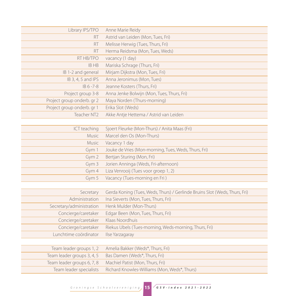| Library IPS/TPO            | Anne Marie Reidy                           |
|----------------------------|--------------------------------------------|
| <b>RT</b>                  | Astrid van Leiden (Mon, Tues, Fri)         |
| RT                         | Melisse Herwig (Tues, Thurs, Fri)          |
| <b>RT</b>                  | Herma Reidsma (Mon, Tues, Weds)            |
| RT HB/TPO                  | vacancy (1 day)                            |
| <b>IBHB</b>                | Mariska Schrage (Thurs, Fri)               |
| IB 1-2 and general         | Mirjam Dijkstra (Mon, Tues, Fri)           |
| IB 3, 4, 5 and IPS         | Anna Jeronimus (Mon, Tues)                 |
| $IB 6 - 7 - 8$             | Jeanne Kosters (Thurs, Fri)                |
| Project group 3-8          | Anna Jenke Bolwijn (Mon, Tues, Thurs, Fri) |
| Project group onderb. gr 2 | Maya Norden (Thurs-morning)                |
| Project group onderb. gr 1 | Erika Slot (Weds)                          |
| Teacher NT2                | Akke Antje Hettema / Astrid van Leiden     |

| ICT teaching | Sjoert Fleurke (Mon-Thurs) / Anita Maas (Fri)        |
|--------------|------------------------------------------------------|
| Music        | Marcel den Os (Mon-Thurs)                            |
| Music        | Vacancy 1 day                                        |
| Gym 1        | Jouke de Vries (Mon-morning, Tues, Weds, Thurs, Fri) |
| Gym $2$      | Bertjan Sturing (Mon, Fri)                           |
| Gym 3        | Jorien Anninga (Weds, Fri-afternoon)                 |
| Gym $4$      | Liza Venrooij (Tues voor groep 1, 2)                 |
| Gym $5$      | Vacancy (Tues-morning en Fri)                        |

| Secretary                | Gerda Koning (Tues, Weds, Thurs) / Gerlinde Bruins Slot (Weds, Thurs, Fri) |
|--------------------------|----------------------------------------------------------------------------|
| Administration           | Ina Sieverts (Mon, Tues, Thurs, Fri)                                       |
| Secretary/administration | Henk Mulder (Mon-Thurs)                                                    |
| Concierge/caretaker      | Edgar Been (Mon, Tues, Thurs, Fri)                                         |
| Concierge/caretaker      | Klaas Noordhuis                                                            |
| Concierge/caretaker      | Riekus Ubels (Tues-morning, Weds-morning, Thurs, Fri)                      |
| Lunchtime coördinator    | Ilse Yarzagaray                                                            |
|                          |                                                                            |

| Team leader groups 1, 2    | Amelia Bakker (Weds*, Thurs, Fri)            |
|----------------------------|----------------------------------------------|
| Team leader groups 3, 4, 5 | Bas Damen (Weds*, Thurs, Fri)                |
| Team leader groups 6, 7, 8 | Machiel Patist (Mon, Thurs, Fri)             |
| Team leader specialists    | Richard Knowles-Williams (Mon, Weds*, Thurs) |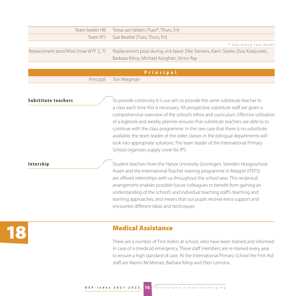| Team leader HB                      | Tessa van Velzen (Tues*, Thurs, Fri)                                              |
|-------------------------------------|-----------------------------------------------------------------------------------|
|                                     | Team IPS Sue Beattie (Tues, Thurs, Fri)                                           |
|                                     | * day every two weeks                                                             |
| Replacement pool/Wwz (max WTF 2, 7) | Replacement pool during sick leave: Elke Stevens, Karin Starke, Eliza Koeijvoets, |
|                                     | Barbara Kilroy, Michael Keoghan, Victor Ray                                       |

| <b>Principal</b>      |
|-----------------------|
| Principal Ton Wiegman |

**Substitute teachers** To provide continuity it is our aim to provide the same substitute teacher in a class each time this is necessary. All prospective substitute staff are given a comprehensive overview of the school's ethos and curriculum. Effective utilisation of a logbook and weekly planner ensures that substitute teachers are able to to continue with the class programme. In the rare case that there is no substitute available, the team leader of the older classes in the bilingual departments will look into appropriate solutions. The team leader of the International Primary School organises supply cover for IPS.

Intership Student teachers from the Hanze University Groningen, Stenden Hoogeschool Assen and the International Teacher training programme in Meppel (ITEPS) are offered internships with us throughout the school year. This reciprocal arrangement enables possible future colleagues to benefit from gaining an understanding of the school's and individual teaching staff's teaching and learning approaches, and means that our pupils receive extra support and encounter different ideas and techniques.

# 18

#### Medical Assistance

There are a number of First Aiders at school, who have been trained and informed in case of a (medical) emergency. These staff members are re-trained every year to ensure a high standard of care. At the International Primary School the First Aid staff are Naomi McMorran, Barbara Kilroy and Ellen Lemstra.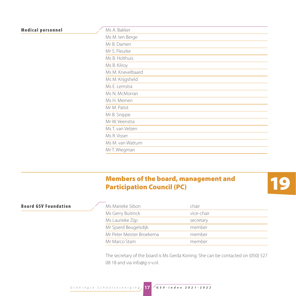#### **Medical personnel**

| Ms A. Bakker      |
|-------------------|
| Ms M. ten Berge   |
| Mr B. Damen       |
| Mr S. Fleurke     |
| Ms B. Holthuis    |
| Ms B. Kilroy      |
| Ms M. Knevelbaard |
| Ms M. Krijgsheld  |
| Ms E. Lemstra     |
| Ms N. McMorran    |
| Ms H. Meinen      |
| Mr M. Patist      |
| Mr B. Snippe      |
| Mr W. Veenstra    |
| Ms T. van Velzen  |
| Ms R. Visser      |
| Ms M. van Wattum  |
| Mr T. Wiegman     |

## Members of the board, management and Participation Council (PC)



#### **Board GSV Foundation**

| Ms Marieke Sibon          | chair      |
|---------------------------|------------|
| Ms Gerry Buitinck         | vice-chair |
| Ms Laurieke Zijp          | secretary  |
| Mr Sjoerd Beugelsdijk     | member     |
| Mr Peter Meister Broekema | member     |
| Mr Marco Stam             | member     |

The secretary of the board is Ms Gerda Koning. She can be contacted on (050) 527 08 18 and via info@g-s-v.nl.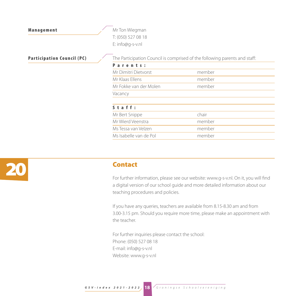Management Management Mr Ton Wiegman T: (050) 527 08 18 E: info@g-s-v.nl

**Participation Council (PC)** The Participation Council is comprised of the following parents and staff:

| Parents:               |        |  |
|------------------------|--------|--|
| Mr Dimitri Dietvorst   | member |  |
| Mr Klaas Ellens        | member |  |
| Mr Fokke van der Molen | member |  |
| Vacancy                |        |  |
|                        |        |  |
| $S$ t a f f :          |        |  |
| Mr Bert Snippe         | chair  |  |
| Mr Wierd Veenstra      | member |  |
| Ms Tessa van Velzen    | member |  |
| Ms Isabelle van de Pol | member |  |
|                        |        |  |



#### Contact

For further information, please see our website: www.g-s-v.nl. On it, you will find a digital version of our school guide and more detailed information about our teaching procedures and policies.

If you have any queries, teachers are available from 8.15-8.30 am and from 3.00-3.15 pm. Should you require more time, please make an appointment with the teacher.

For further inquiries please contact the school: Phone: (050) 527 08 18 E-mail: info@g-s-v.nl Website: www.g-s-v.nl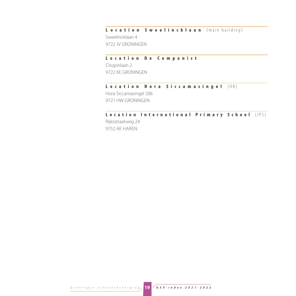#### L ocation Sweelincklaan (main building)

Sweelincklaan 4 9722 JV GRONINGEN

#### Location De Componist

Chopinlaan 2 9722 KE GRONINGEN

#### Location Hora Siccamasingel (HB)

Hora Siccamasingel 206 9721 HW GRONINGEN

#### Location International Primary School (IPS)

Rijksstraatweg 24 9752 AE HAREN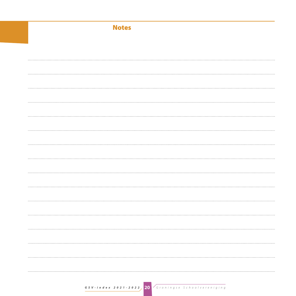| <b>Notes</b> |
|--------------|
|              |
|              |
|              |
|              |
|              |
|              |
|              |
|              |
|              |
|              |
|              |
|              |
|              |
|              |
|              |
|              |
|              |
|              |